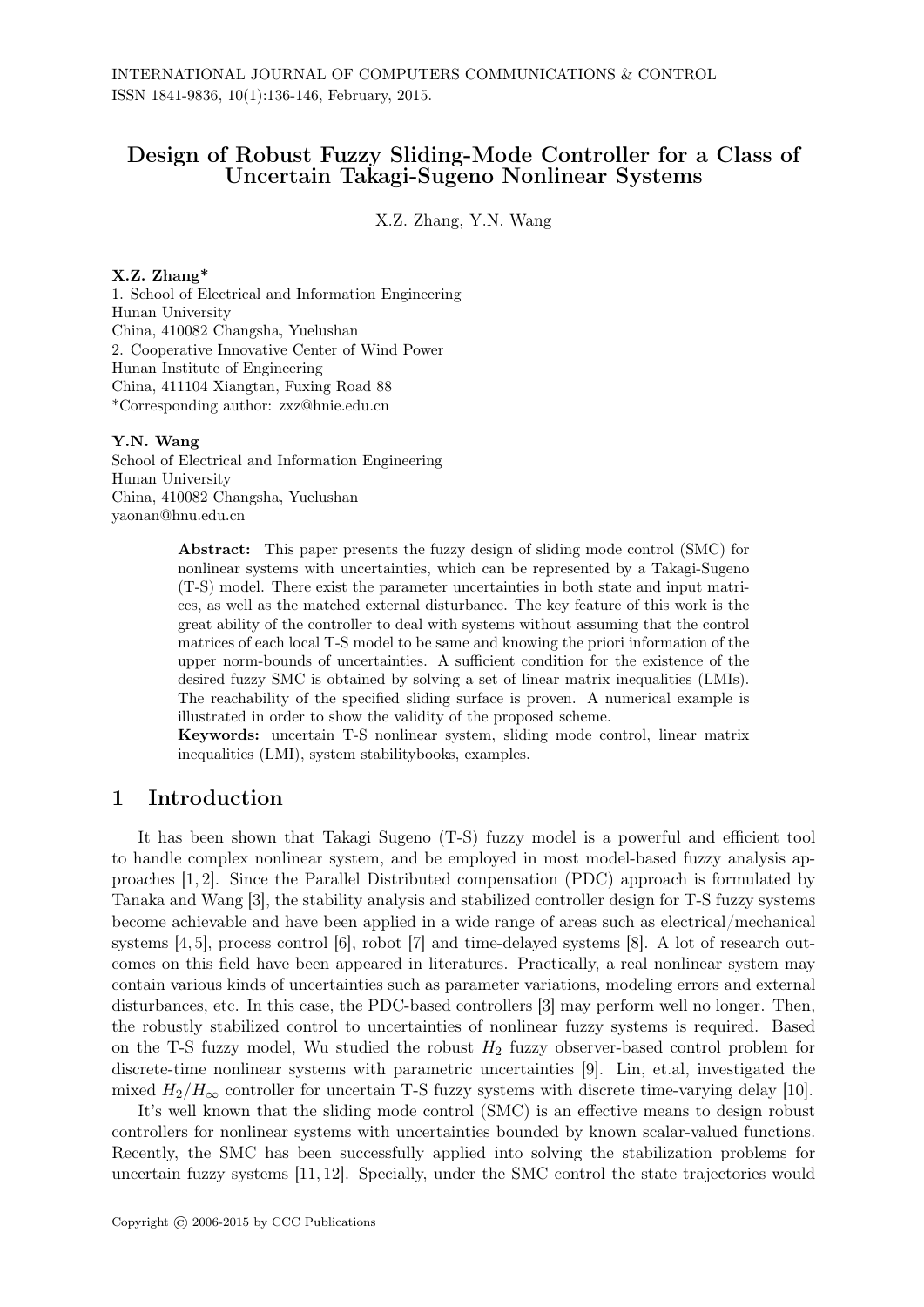# Design of Robust Fuzzy Sliding-Mode Controller for a Class of Uncertain Takagi-Sugeno Nonlinear Systems

X.Z. Zhang, Y.N. Wang

#### X.Z. Zhang\*

1. School of Electrical and Information Engineering Hunan University China, 410082 Changsha, Yuelushan 2. Cooperative Innovative Center of Wind Power Hunan Institute of Engineering China, 411104 Xiangtan, Fuxing Road 88 \*Corresponding author: zxz@hnie.edu.cn

### Y.N. Wang

School of Electrical and Information Engineering Hunan University China, 410082 Changsha, Yuelushan yaonan@hnu.edu.cn

> Abstract: This paper presents the fuzzy design of sliding mode control (SMC) for nonlinear systems with uncertainties, which can be represented by a Takagi-Sugeno (T-S) model. There exist the parameter uncertainties in both state and input matrices, as well as the matched external disturbance. The key feature of this work is the great ability of the controller to deal with systems without assuming that the control matrices of each local T-S model to be same and knowing the priori information of the upper norm-bounds of uncertainties. A sufficient condition for the existence of the desired fuzzy SMC is obtained by solving a set of linear matrix inequalities (LMIs). The reachability of the specified sliding surface is proven. A numerical example is illustrated in order to show the validity of the proposed scheme.

> Keywords: uncertain T-S nonlinear system, sliding mode control, linear matrix inequalities (LMI), system stabilitybooks, examples.

## 1 Introduction

It has been shown that Takagi Sugeno (T-S) fuzzy model is a powerful and efficient tool to handle complex nonlinear system, and be employed in most model-based fuzzy analysis approaches [1, 2]. Since the Parallel Distributed compensation (PDC) approach is formulated by Tanaka and Wang [3], the stability analysis and stabilized controller design for T-S fuzzy systems become achievable and have been applied in a wide range of areas such as electrical/mechanical systems [4, 5], process control [6], robot [7] and time-delayed systems [8]. A lot of research outcomes on this field have been appeared in literatures. Practically, a real nonlinear system may contain various kinds of uncertainties such as parameter variations, modeling errors and external disturbances, etc. In this case, the PDC-based controllers [3] may perform well no longer. Then, the robustly stabilized control to uncertainties of nonlinear fuzzy systems is required. Based on the T-S fuzzy model, Wu studied the robust  $H_2$  fuzzy observer-based control problem for discrete-time nonlinear systems with parametric uncertainties [9]. Lin, et.al, investigated the mixed  $H_2/H_\infty$  controller for uncertain T-S fuzzy systems with discrete time-varying delay [10].

It's well known that the sliding mode control (SMC) is an effective means to design robust controllers for nonlinear systems with uncertainties bounded by known scalar-valued functions. Recently, the SMC has been successfully applied into solving the stabilization problems for uncertain fuzzy systems [11, 12]. Specially, under the SMC control the state trajectories would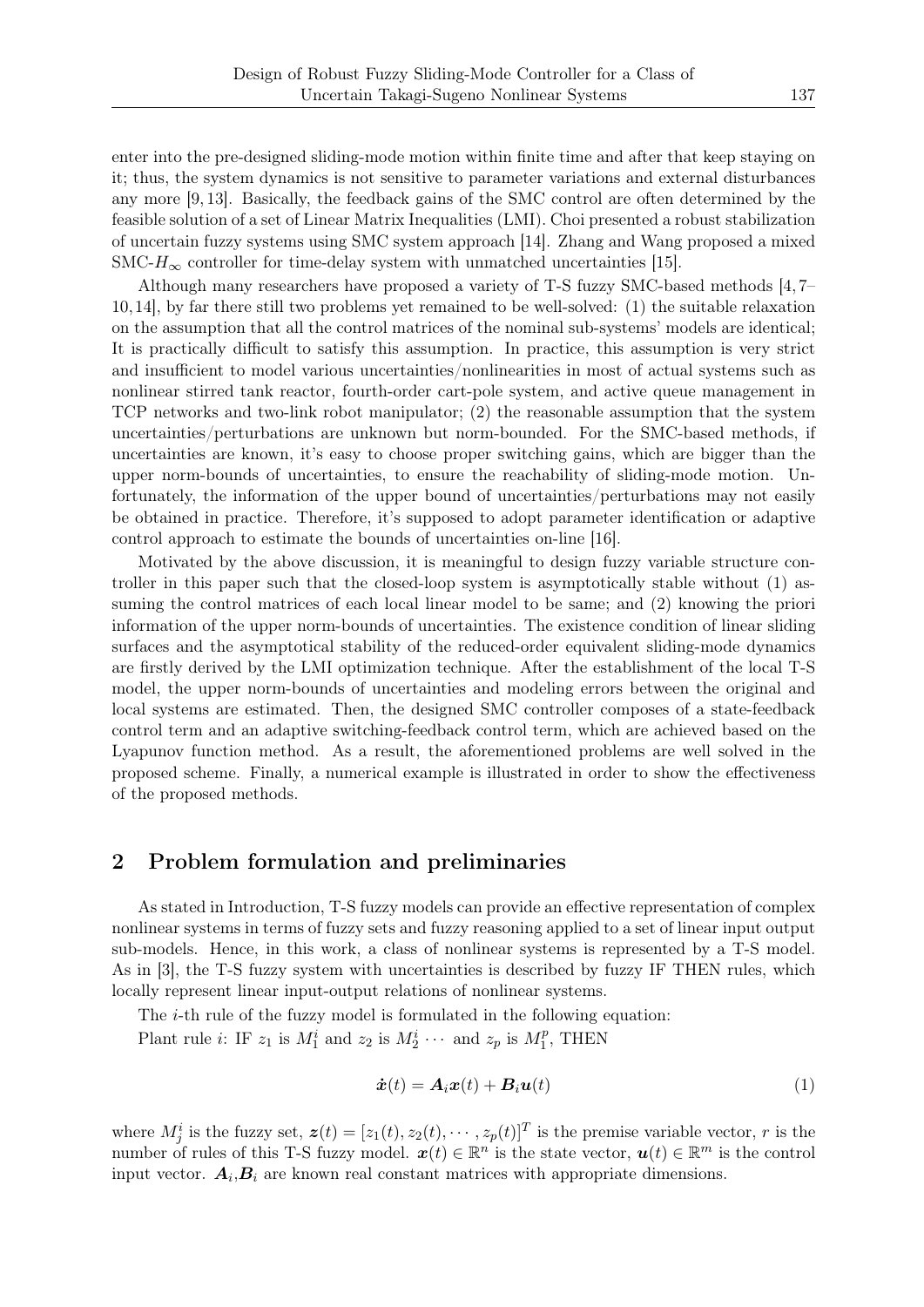enter into the pre-designed sliding-mode motion within finite time and after that keep staying on it; thus, the system dynamics is not sensitive to parameter variations and external disturbances any more [9, 13]. Basically, the feedback gains of the SMC control are often determined by the feasible solution of a set of Linear Matrix Inequalities (LMI). Choi presented a robust stabilization of uncertain fuzzy systems using SMC system approach [14]. Zhang and Wang proposed a mixed  $SMC-H_{\infty}$  controller for time-delay system with unmatched uncertainties [15].

Although many researchers have proposed a variety of T-S fuzzy SMC-based methods [4, 7– 10,14], by far there still two problems yet remained to be well-solved: (1) the suitable relaxation on the assumption that all the control matrices of the nominal sub-systems' models are identical; It is practically difficult to satisfy this assumption. In practice, this assumption is very strict and insufficient to model various uncertainties/nonlinearities in most of actual systems such as nonlinear stirred tank reactor, fourth-order cart-pole system, and active queue management in TCP networks and two-link robot manipulator; (2) the reasonable assumption that the system uncertainties/perturbations are unknown but norm-bounded. For the SMC-based methods, if uncertainties are known, it's easy to choose proper switching gains, which are bigger than the upper norm-bounds of uncertainties, to ensure the reachability of sliding-mode motion. Unfortunately, the information of the upper bound of uncertainties/perturbations may not easily be obtained in practice. Therefore, it's supposed to adopt parameter identification or adaptive control approach to estimate the bounds of uncertainties on-line [16].

Motivated by the above discussion, it is meaningful to design fuzzy variable structure controller in this paper such that the closed-loop system is asymptotically stable without (1) assuming the control matrices of each local linear model to be same; and (2) knowing the priori information of the upper norm-bounds of uncertainties. The existence condition of linear sliding surfaces and the asymptotical stability of the reduced-order equivalent sliding-mode dynamics are firstly derived by the LMI optimization technique. After the establishment of the local T-S model, the upper norm-bounds of uncertainties and modeling errors between the original and local systems are estimated. Then, the designed SMC controller composes of a state-feedback control term and an adaptive switching-feedback control term, which are achieved based on the Lyapunov function method. As a result, the aforementioned problems are well solved in the proposed scheme. Finally, a numerical example is illustrated in order to show the effectiveness of the proposed methods.

## 2 Problem formulation and preliminaries

As stated in Introduction, T-S fuzzy models can provide an effective representation of complex nonlinear systems in terms of fuzzy sets and fuzzy reasoning applied to a set of linear input output sub-models. Hence, in this work, a class of nonlinear systems is represented by a T-S model. As in [3], the T-S fuzzy system with uncertainties is described by fuzzy IF THEN rules, which locally represent linear input-output relations of nonlinear systems.

The *i*-th rule of the fuzzy model is formulated in the following equation:

Plant rule *i*: IF  $z_1$  is  $M_1^i$  and  $z_2$  is  $M_2^i \cdots$  and  $z_p$  is  $M_1^p$  $T_1^p$ , THEN

$$
\dot{\boldsymbol{x}}(t) = \boldsymbol{A}_i \boldsymbol{x}(t) + \boldsymbol{B}_i \boldsymbol{u}(t) \tag{1}
$$

where  $M_j^i$  is the fuzzy set,  $\mathbf{z}(t) = [z_1(t), z_2(t), \cdots, z_p(t)]^T$  is the premise variable vector, *r* is the number of rules of this T-S fuzzy model.  $x(t) \in \mathbb{R}^n$  is the state vector,  $u(t) \in \mathbb{R}^m$  is the control input vector.  $A_i$ ,  $B_i$  are known real constant matrices with appropriate dimensions.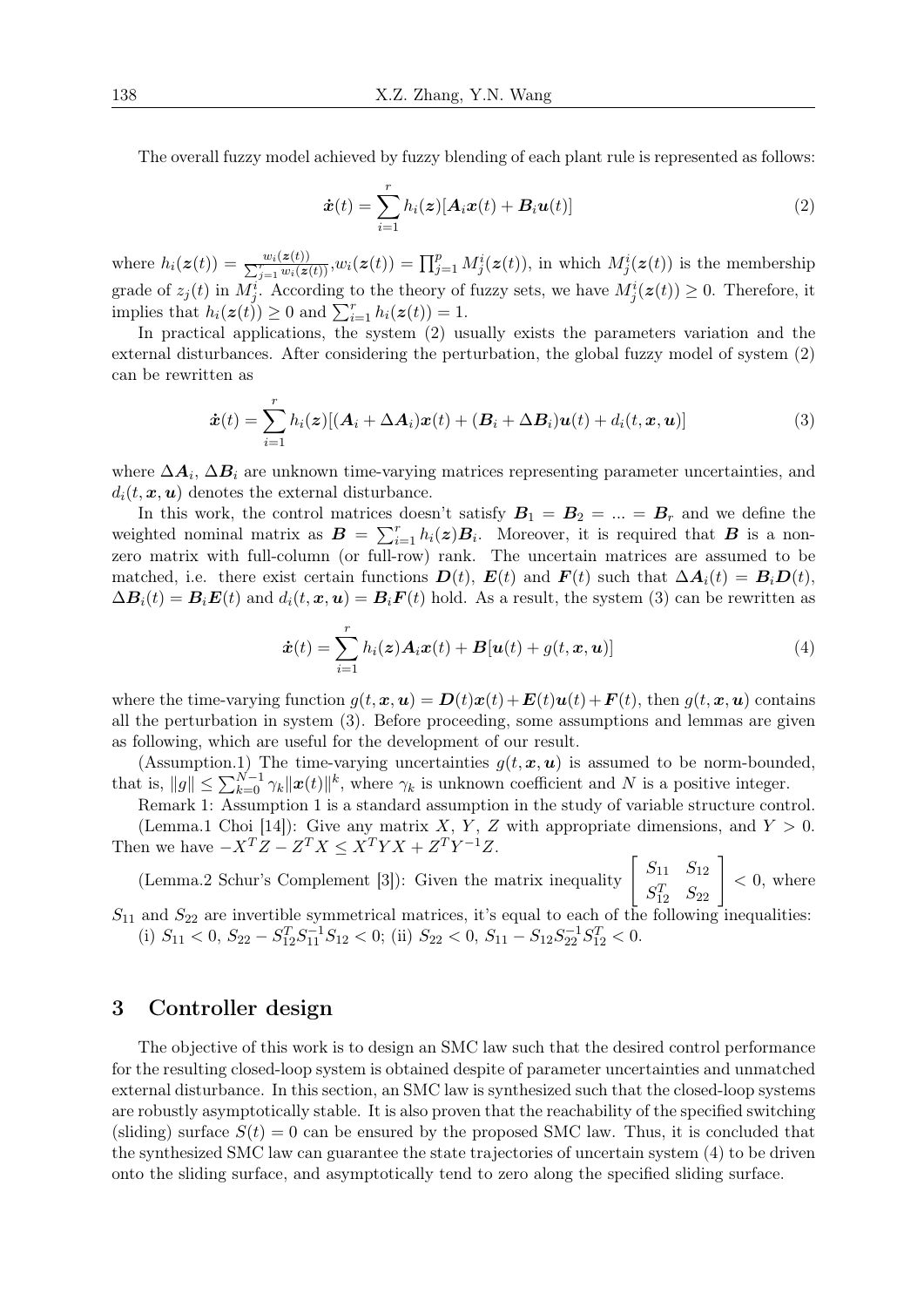The overall fuzzy model achieved by fuzzy blending of each plant rule is represented as follows:

$$
\dot{\boldsymbol{x}}(t) = \sum_{i=1}^{r} h_i(\boldsymbol{z}) [\boldsymbol{A}_i \boldsymbol{x}(t) + \boldsymbol{B}_i \boldsymbol{u}(t)] \tag{2}
$$

where  $h_i(\mathbf{z}(t)) = \frac{w_i(\mathbf{z}(t))}{\sum_{j=1}^r w_i(\mathbf{z}(t))}, w_i(\mathbf{z}(t)) = \prod_{j=1}^p M_j^i(\mathbf{z}(t)),$  in which  $M_j^i(\mathbf{z}(t))$  is the membership grade of  $z_j(t)$  in  $M_j^i$ . According to the theory of fuzzy sets, we have  $M_j^i(z(t)) \geq 0$ . Therefore, it implies that  $h_i(z(t)) \geq 0$  and  $\sum_{i=1}^r h_i(z(t)) = 1$ .

In practical applications, the system (2) usually exists the parameters variation and the external disturbances. After considering the perturbation, the global fuzzy model of system (2) can be rewritten as

$$
\dot{\boldsymbol{x}}(t) = \sum_{i=1}^{r} h_i(\boldsymbol{z}) [(\boldsymbol{A}_i + \Delta \boldsymbol{A}_i) \boldsymbol{x}(t) + (\boldsymbol{B}_i + \Delta \boldsymbol{B}_i) \boldsymbol{u}(t) + d_i(t, \boldsymbol{x}, \boldsymbol{u})]
$$
(3)

where  $\Delta A_i$ ,  $\Delta B_i$  are unknown time-varying matrices representing parameter uncertainties, and  $d_i(t, \mathbf{x}, \mathbf{u})$  denotes the external disturbance.

In this work, the control matrices doesn't satisfy  $B_1 = B_2 = ... = B_r$  and we define the weighted nominal matrix as  $B = \sum_{i=1}^{r} h_i(z)B_i$ . Moreover, it is required that *B* is a nonzero matrix with full-column (or full-row) rank. The uncertain matrices are assumed to be matched, i.e. there exist certain functions  $\mathbf{D}(t)$ ,  $\mathbf{E}(t)$  and  $\mathbf{F}(t)$  such that  $\Delta \mathbf{A}_i(t) = \mathbf{B}_i \mathbf{D}(t)$ .  $\Delta B_i(t) = B_i E(t)$  and  $d_i(t, x, u) = B_i F(t)$  hold. As a result, the system (3) can be rewritten as

$$
\dot{\boldsymbol{x}}(t) = \sum_{i=1}^{r} h_i(\boldsymbol{z}) \boldsymbol{A}_i \boldsymbol{x}(t) + \boldsymbol{B}[\boldsymbol{u}(t) + g(t, \boldsymbol{x}, \boldsymbol{u})] \tag{4}
$$

where the time-varying function  $q(t, x, u) = D(t)x(t) + E(t)u(t) + F(t)$ , then  $q(t, x, u)$  contains all the perturbation in system (3). Before proceeding, some assumptions and lemmas are given as following, which are useful for the development of our result.

(Assumption.1) The time-varying uncertainties  $g(t, x, u)$  is assumed to be norm-bounded, that is,  $||g|| \le \sum_{k=0}^{N-1} \gamma_k ||x(t)||^k$ , where  $\gamma_k$  is unknown coefficient and *N* is a positive integer.

Remark 1: Assumption 1 is a standard assumption in the study of variable structure control.

(Lemma.1 Choi [14]): Give any matrix *X*, *Y*, *Z* with appropriate dimensions, and  $Y > 0$ . Then we have  $-X^T Z - Z^T X \leq X^T Y X + Z^T Y^{-1} Z$ .

(Lemma.2 Schur's Complement [3]): Given the matrix inequality  $\begin{bmatrix} S_{11} & S_{12} \\ \alpha^T & \alpha^T \end{bmatrix}$  $\begin{bmatrix} S_{11} & S_{12} \ S_{12}^T & S_{22} \end{bmatrix}$ *<* 0, where

 $S_{11}$  and  $S_{22}$  are invertible symmetrical matrices, it's equal to each of the following inequalities: (i)  $S_{11} < 0$ ,  $S_{22} - S_{12}^T S_{11}^{-1} S_{12} < 0$ ; (ii)  $S_{22} < 0$ ,  $S_{11} - S_{12} S_{22}^{-1} S_{12}^T < 0$ .

### 3 Controller design

The objective of this work is to design an SMC law such that the desired control performance for the resulting closed-loop system is obtained despite of parameter uncertainties and unmatched external disturbance. In this section, an SMC law is synthesized such that the closed-loop systems are robustly asymptotically stable. It is also proven that the reachability of the specified switching (sliding) surface  $S(t) = 0$  can be ensured by the proposed SMC law. Thus, it is concluded that the synthesized SMC law can guarantee the state trajectories of uncertain system (4) to be driven onto the sliding surface, and asymptotically tend to zero along the specified sliding surface.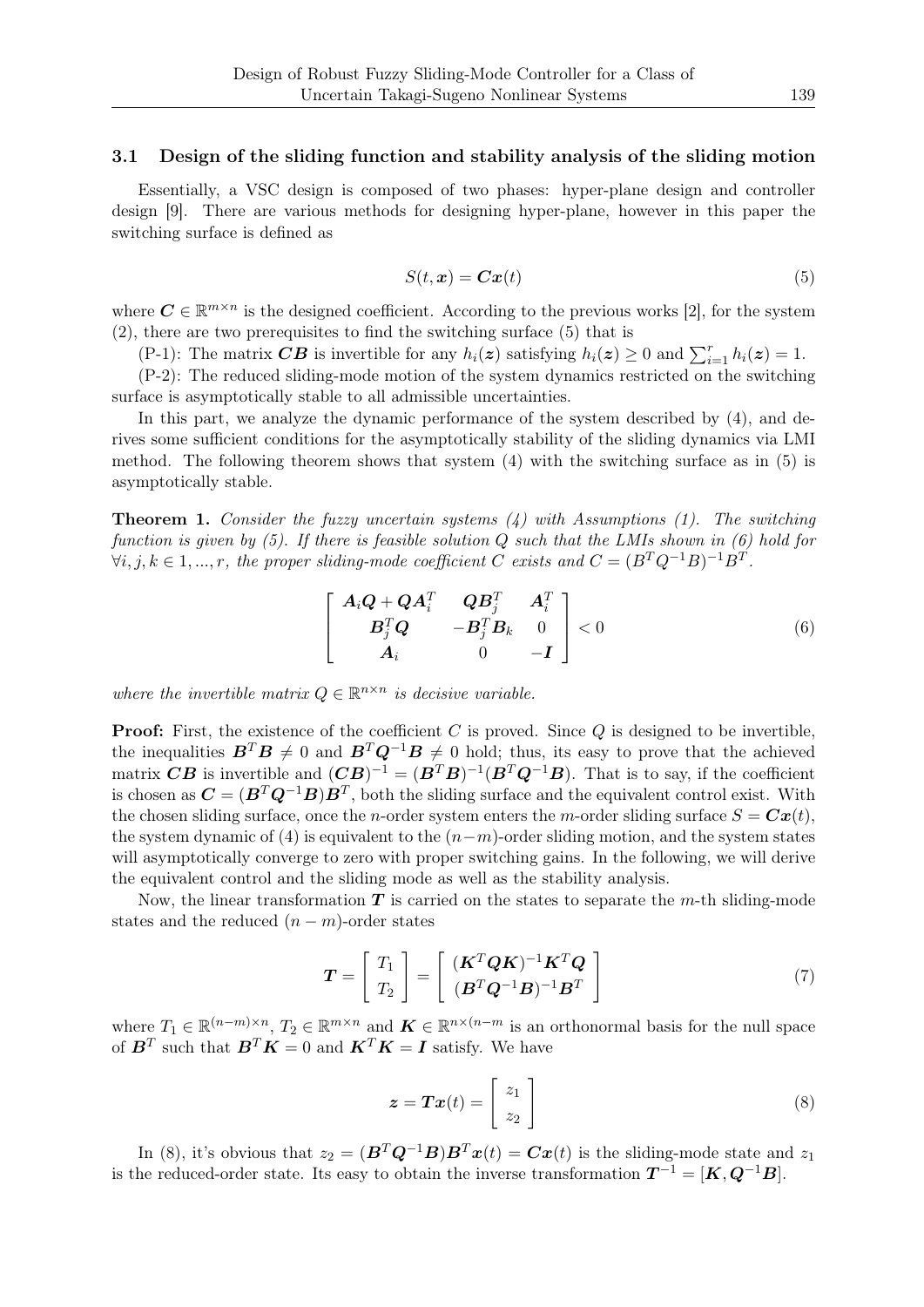### 3.1 Design of the sliding function and stability analysis of the sliding motion

Essentially, a VSC design is composed of two phases: hyper-plane design and controller design [9]. There are various methods for designing hyper-plane, however in this paper the switching surface is defined as

$$
S(t, x) = Cx(t) \tag{5}
$$

where  $C \in \mathbb{R}^{m \times n}$  is the designed coefficient. According to the previous works [2], for the system (2), there are two prerequisites to find the switching surface (5) that is

(P-1): The matrix  $CB$  is invertible for any  $h_i(z)$  satisfying  $h_i(z) \geq 0$  and  $\sum_{i=1}^{r} h_i(z) = 1$ .

(P-2): The reduced sliding-mode motion of the system dynamics restricted on the switching surface is asymptotically stable to all admissible uncertainties.

In this part, we analyze the dynamic performance of the system described by  $(4)$ , and derives some sufficient conditions for the asymptotically stability of the sliding dynamics via LMI method. The following theorem shows that system (4) with the switching surface as in (5) is asymptotically stable.

Theorem 1. *Consider the fuzzy uncertain systems (4) with Assumptions (1). The switching function is given by (5). If there is feasible solution Q such that the LMIs shown in (6) hold for*  $\forall i, j, k \in 1, ..., r$ , the proper sliding-mode coefficient *C* exists and  $C = (B^T Q^{-1} B)^{-1} B^T$ .

$$
\begin{bmatrix}\n\mathbf{A}_i \mathbf{Q} + \mathbf{Q} \mathbf{A}_i^T & \mathbf{Q} \mathbf{B}_j^T & \mathbf{A}_i^T \\
\mathbf{B}_j^T \mathbf{Q} & -\mathbf{B}_j^T \mathbf{B}_k & 0 \\
\mathbf{A}_i & 0 & -\mathbf{I}\n\end{bmatrix} < 0
$$
\n(6)

*where the invertible matrix*  $Q \in \mathbb{R}^{n \times n}$  *is decisive variable.* 

**Proof:** First, the existence of the coefficient *C* is proved. Since *Q* is designed to be invertible. the inequalities  $B^T B \neq 0$  and  $B^T Q^{-1} B \neq 0$  hold; thus, its easy to prove that the achieved matrix  $CB$  is invertible and  $(CB)^{-1} = (B^T B)^{-1} (B^T Q^{-1} B)$ . That is to say, if the coefficient is chosen as  $\mathbf{C} = (\mathbf{B}^T \mathbf{Q}^{-1} \mathbf{B}) \mathbf{B}^T$ , both the sliding surface and the equivalent control exist. With the chosen sliding surface, once the *n*-order system enters the *m*-order sliding surface  $S = \mathbf{C}\mathbf{x}(t)$ , the system dynamic of (4) is equivalent to the (*n−m*)-order sliding motion, and the system states will asymptotically converge to zero with proper switching gains. In the following, we will derive the equivalent control and the sliding mode as well as the stability analysis.

Now, the linear transformation *T* is carried on the states to separate the *m*-th sliding-mode states and the reduced  $(n - m)$ -order states

$$
\boldsymbol{T} = \begin{bmatrix} T_1 \\ T_2 \end{bmatrix} = \begin{bmatrix} (\boldsymbol{K}^T \boldsymbol{Q} \boldsymbol{K})^{-1} \boldsymbol{K}^T \boldsymbol{Q} \\ (\boldsymbol{B}^T \boldsymbol{Q}^{-1} \boldsymbol{B})^{-1} \boldsymbol{B}^T \end{bmatrix}
$$
\n(7)

where  $T_1 \in \mathbb{R}^{(n-m)\times n}$ ,  $T_2 \in \mathbb{R}^{m\times n}$  and  $\boldsymbol{K} \in \mathbb{R}^{n\times (n-m)}$  is an orthonormal basis for the null space of  $\mathbf{B}^T$  such that  $\mathbf{B}^T \mathbf{K} = 0$  and  $\mathbf{K}^T \mathbf{K} = \mathbf{I}$  satisfy. We have

$$
\boldsymbol{z} = \boldsymbol{T}\boldsymbol{x}(t) = \begin{bmatrix} z_1 \\ z_2 \end{bmatrix} \tag{8}
$$

In (8), it's obvious that  $z_2 = (B^T Q^{-1} B) B^T x(t) = C x(t)$  is the sliding-mode state and  $z_1$ is the reduced-order state. Its easy to obtain the inverse transformation  $T^{-1} = [K, Q^{-1}B]$ .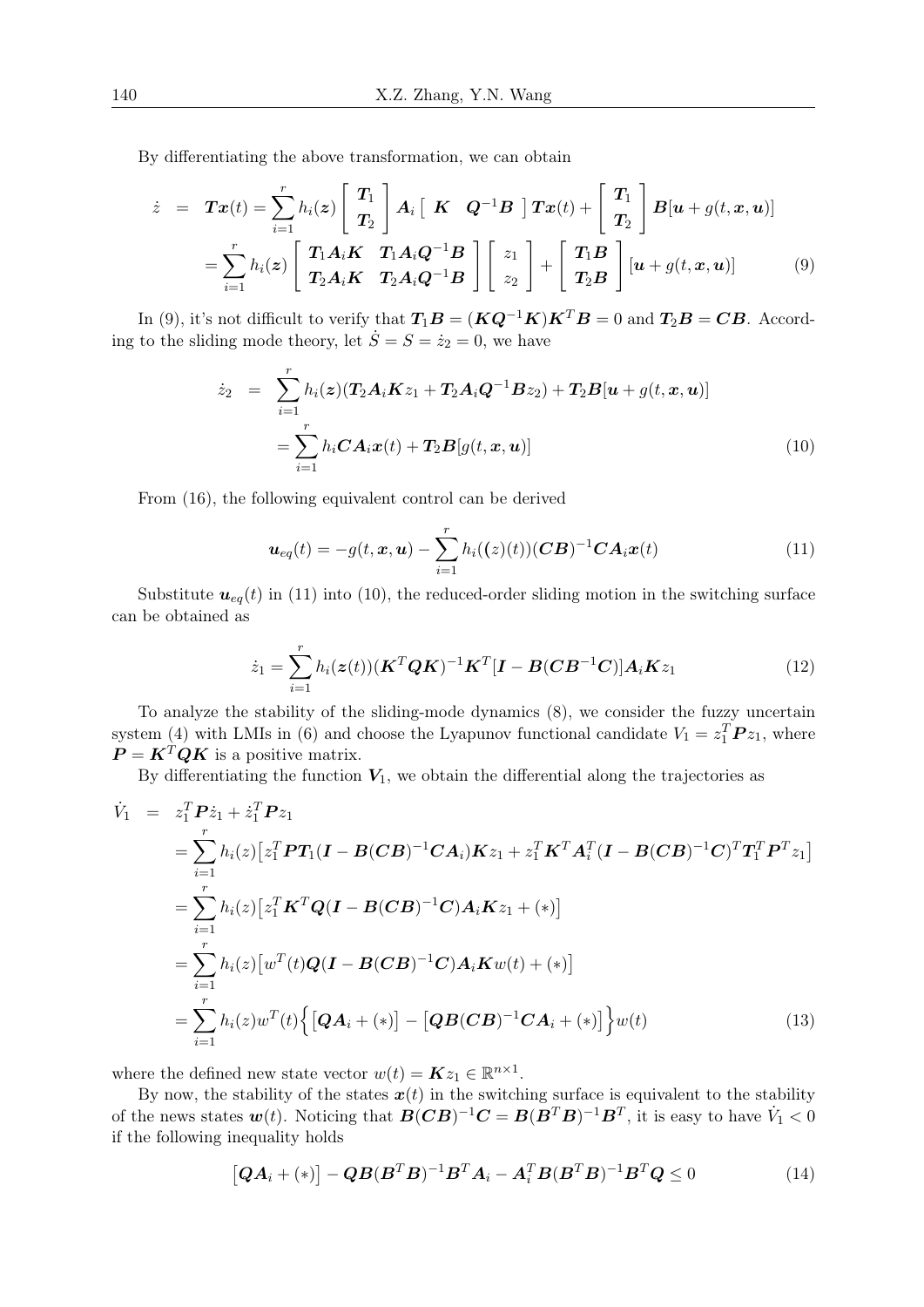By differentiating the above transformation, we can obtain

$$
\dot{z} = \boldsymbol{T}\boldsymbol{x}(t) = \sum_{i=1}^{r} h_i(\boldsymbol{z}) \begin{bmatrix} \boldsymbol{T}_1 \\ \boldsymbol{T}_2 \end{bmatrix} \boldsymbol{A}_i \begin{bmatrix} \boldsymbol{K} & \boldsymbol{Q}^{-1}\boldsymbol{B} \end{bmatrix} \boldsymbol{T}\boldsymbol{x}(t) + \begin{bmatrix} \boldsymbol{T}_1 \\ \boldsymbol{T}_2 \end{bmatrix} \boldsymbol{B}[\boldsymbol{u} + g(t, \boldsymbol{x}, \boldsymbol{u})] \n= \sum_{i=1}^{r} h_i(\boldsymbol{z}) \begin{bmatrix} \boldsymbol{T}_1 \boldsymbol{A}_i \boldsymbol{K} & \boldsymbol{T}_1 \boldsymbol{A}_i \boldsymbol{Q}^{-1} \boldsymbol{B} \\ \boldsymbol{T}_2 \boldsymbol{A}_i \boldsymbol{K} & \boldsymbol{T}_2 \boldsymbol{A}_i \boldsymbol{Q}^{-1} \boldsymbol{B} \end{bmatrix} \begin{bmatrix} z_1 \\ z_2 \end{bmatrix} + \begin{bmatrix} \boldsymbol{T}_1 \boldsymbol{B} \\ \boldsymbol{T}_2 \boldsymbol{B} \end{bmatrix} [\boldsymbol{u} + g(t, \boldsymbol{x}, \boldsymbol{u})] \tag{9}
$$

In (9), it's not difficult to verify that  $T_1B = (KQ^{-1}K)K^TB = 0$  and  $T_2B = CB$ . According to the sliding mode theory, let  $\dot{S} = S = \dot{z}_2 = 0$ , we have

$$
\dot{z}_2 = \sum_{i=1}^r h_i(\boldsymbol{z}) (\boldsymbol{T}_2 \boldsymbol{A}_i \boldsymbol{K} z_1 + \boldsymbol{T}_2 \boldsymbol{A}_i \boldsymbol{Q}^{-1} \boldsymbol{B} z_2) + \boldsymbol{T}_2 \boldsymbol{B} [\boldsymbol{u} + g(t, \boldsymbol{x}, \boldsymbol{u})]
$$
  
= 
$$
\sum_{i=1}^r h_i \boldsymbol{C} \boldsymbol{A}_i \boldsymbol{x}(t) + \boldsymbol{T}_2 \boldsymbol{B} [g(t, \boldsymbol{x}, \boldsymbol{u})]
$$
(10)

From (16), the following equivalent control can be derived

$$
\boldsymbol{u}_{eq}(t) = -g(t, \boldsymbol{x}, \boldsymbol{u}) - \sum_{i=1}^{r} h_i((z)(t)) (\boldsymbol{C}\boldsymbol{B})^{-1} \boldsymbol{C} \boldsymbol{A}_i \boldsymbol{x}(t)
$$
(11)

Substitute  $u_{eq}(t)$  in (11) into (10), the reduced-order sliding motion in the switching surface can be obtained as

$$
\dot{z}_1 = \sum_{i=1}^r h_i(\mathbf{z}(t)) (\mathbf{K}^T \mathbf{Q} \mathbf{K})^{-1} \mathbf{K}^T [\mathbf{I} - \mathbf{B} (\mathbf{C} \mathbf{B}^{-1} \mathbf{C})] \mathbf{A}_i \mathbf{K} z_1
$$
(12)

To analyze the stability of the sliding-mode dynamics (8), we consider the fuzzy uncertain system (4) with LMIs in (6) and choose the Lyapunov functional candidate  $V_1 = z_1^T P z_1$ , where  $P = K^T Q K$  is a positive matrix.

By differentiating the function  $V_1$ , we obtain the differential along the trajectories as

$$
\dot{V}_1 = z_1^T P \dot{z}_1 + \dot{z}_1^T P z_1 \n= \sum_{i=1}^r h_i(z) \left[ z_1^T P T_1 (I - B(CB)^{-1} C A_i) K z_1 + z_1^T K^T A_i^T (I - B(CB)^{-1} C)^T T_1^T P^T z_1 \right] \n= \sum_{i=1}^r h_i(z) \left[ z_1^T K^T Q (I - B(CB)^{-1} C) A_i K z_1 + (*) \right] \n= \sum_{i=1}^r h_i(z) \left[ w^T(t) Q (I - B(CB)^{-1} C) A_i K w(t) + (*) \right] \n= \sum_{i=1}^r h_i(z) w^T(t) \left\{ \left[ Q A_i + (*) \right] - \left[ Q B(CB)^{-1} C A_i + (*) \right] \right\} w(t)
$$
\n(13)

where the defined new state vector  $w(t) = Kz_1 \in \mathbb{R}^{n \times 1}$ .

By now, the stability of the states  $x(t)$  in the switching surface is equivalent to the stability of the news states  $w(t)$ . Noticing that  $B(CB)^{-1}C = B(B^TB)^{-1}B^T$ , it is easy to have  $\dot{V}_1 < 0$ if the following inequality holds

$$
[\boldsymbol{Q}\boldsymbol{A}_i + (*)] - \boldsymbol{Q}\boldsymbol{B}(\boldsymbol{B}^T\boldsymbol{B})^{-1}\boldsymbol{B}^T\boldsymbol{A}_i - \boldsymbol{A}_i^T\boldsymbol{B}(\boldsymbol{B}^T\boldsymbol{B})^{-1}\boldsymbol{B}^T\boldsymbol{Q} \le 0 \qquad (14)
$$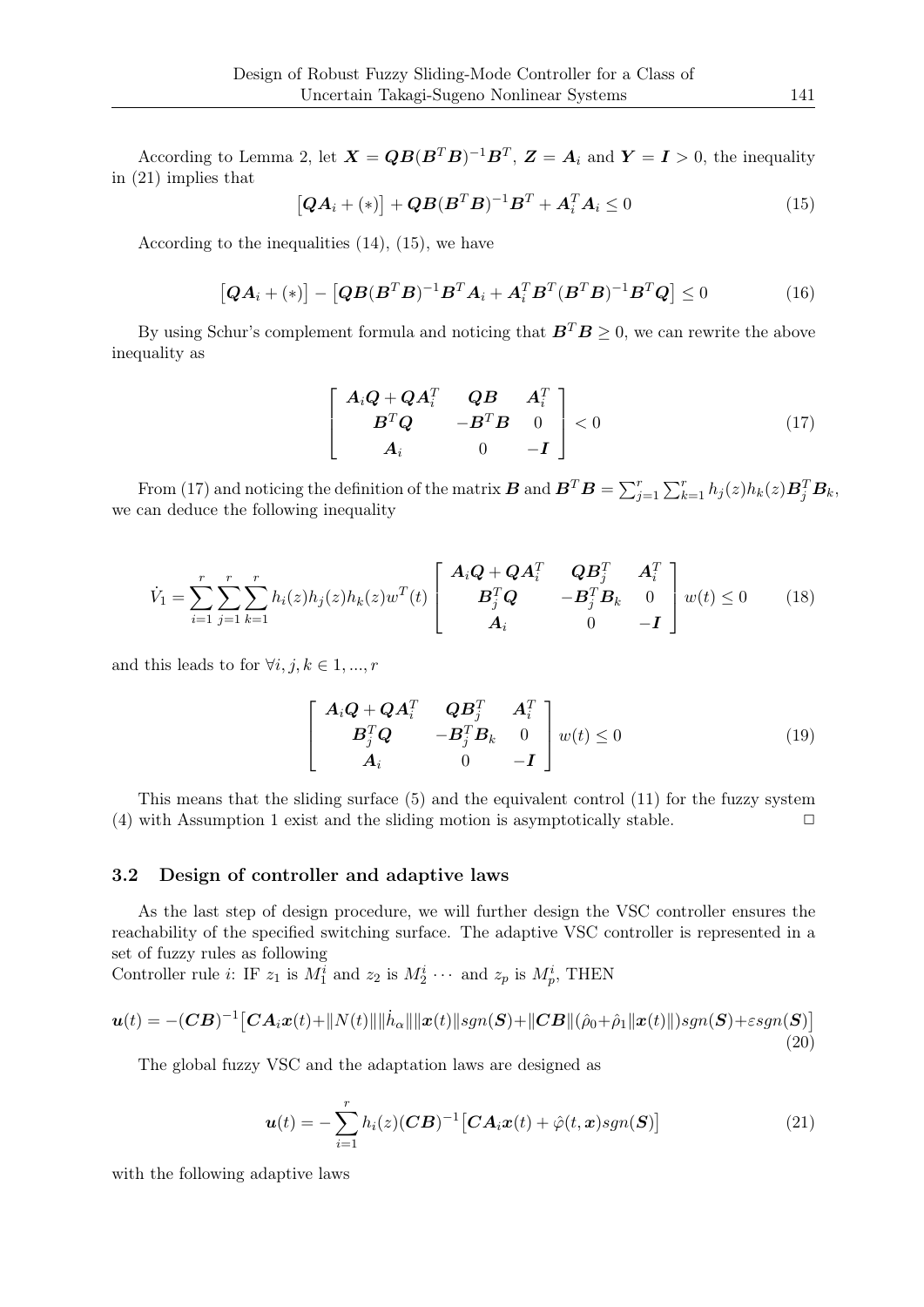According to Lemma 2, let  $\mathbf{X} = \mathbf{Q}\mathbf{B}(\mathbf{B}^T\mathbf{B})^{-1}\mathbf{B}^T$ ,  $\mathbf{Z} = \mathbf{A}_i$  and  $\mathbf{Y} = \mathbf{I} > 0$ , the inequality in (21) implies that

$$
[\boldsymbol{Q}\boldsymbol{A}_i + (*)] + \boldsymbol{Q}\boldsymbol{B}(\boldsymbol{B}^T\boldsymbol{B})^{-1}\boldsymbol{B}^T + \boldsymbol{A}_i^T\boldsymbol{A}_i \le 0 \qquad (15)
$$

According to the inequalities (14), (15), we have

$$
[\boldsymbol{Q}\boldsymbol{A}_i + (*)] - [\boldsymbol{Q}\boldsymbol{B}(\boldsymbol{B}^T\boldsymbol{B})^{-1}\boldsymbol{B}^T\boldsymbol{A}_i + \boldsymbol{A}_i^T\boldsymbol{B}^T(\boldsymbol{B}^T\boldsymbol{B})^{-1}\boldsymbol{B}^T\boldsymbol{Q}] \le 0 \qquad (16)
$$

By using Schur's complement formula and noticing that  $B^T B \geq 0$ , we can rewrite the above inequality as

$$
\begin{bmatrix}\nA_i \mathbf{Q} + \mathbf{Q} \mathbf{A}_i^T & \mathbf{Q} \mathbf{B} & \mathbf{A}_i^T \\
\mathbf{B}^T \mathbf{Q} & -\mathbf{B}^T \mathbf{B} & 0 \\
\mathbf{A}_i & 0 & -\mathbf{I}\n\end{bmatrix} < 0
$$
\n(17)

From (17) and noticing the definition of the matrix  $\boldsymbol{B}$  and  $\boldsymbol{B}^T \boldsymbol{B} = \sum_{j=1}^r \sum_{k=1}^r h_j(z) h_k(z) \boldsymbol{B}_j^T \boldsymbol{B}_k$ , we can deduce the following inequality

$$
\dot{V}_1 = \sum_{i=1}^r \sum_{j=1}^r \sum_{k=1}^r h_i(z) h_j(z) h_k(z) w^T(t) \begin{bmatrix} \mathbf{A}_i \mathbf{Q} + \mathbf{Q} \mathbf{A}_i^T & \mathbf{Q} \mathbf{B}_j^T & \mathbf{A}_i^T \\ \mathbf{B}_j^T \mathbf{Q} & -\mathbf{B}_j^T \mathbf{B}_k & 0 \\ \mathbf{A}_i & 0 & -\mathbf{I} \end{bmatrix} w(t) \le 0 \quad (18)
$$

and this leads to for  $\forall i, j, k \in 1, ..., r$ 

$$
\begin{bmatrix}\n\mathbf{A}_i \mathbf{Q} + \mathbf{Q} \mathbf{A}_i^T & \mathbf{Q} \mathbf{B}_j^T & \mathbf{A}_i^T \\
\mathbf{B}_j^T \mathbf{Q} & -\mathbf{B}_j^T \mathbf{B}_k & 0 \\
\mathbf{A}_i & 0 & -\mathbf{I}\n\end{bmatrix} w(t) \le 0
$$
\n(19)

This means that the sliding surface (5) and the equivalent control (11) for the fuzzy system (4) with Assumption 1 exist and the sliding motion is asymptotically stable.  $\Box$ 

### 3.2 Design of controller and adaptive laws

As the last step of design procedure, we will further design the VSC controller ensures the reachability of the specified switching surface. The adaptive VSC controller is represented in a set of fuzzy rules as following

Controller rule *i*: IF  $z_1$  is  $M_1^i$  and  $z_2$  is  $M_2^i \cdots$  and  $z_p$  is  $M_p^i$ , THEN

$$
\boldsymbol{u}(t) = -(\boldsymbol{C}\boldsymbol{B})^{-1} \big[\boldsymbol{C}\boldsymbol{A}_i \boldsymbol{x}(t) + \|N(t)\| \|\dot{\boldsymbol{h}}_{\alpha}\| \|\boldsymbol{x}(t)\| \boldsymbol{s} \boldsymbol{g} \boldsymbol{n}(\boldsymbol{S}) + \|\boldsymbol{C}\boldsymbol{B}\| (\hat{\rho}_0 + \hat{\rho}_1 \|\boldsymbol{x}(t)\|) \boldsymbol{s} \boldsymbol{g} \boldsymbol{n}(\boldsymbol{S}) + \varepsilon \boldsymbol{s} \boldsymbol{g} \boldsymbol{n}(\boldsymbol{S}) \big] \tag{20}
$$

The global fuzzy VSC and the adaptation laws are designed as

$$
\boldsymbol{u}(t) = -\sum_{i=1}^{r} h_i(z) (\boldsymbol{C}\boldsymbol{B})^{-1} [\boldsymbol{C}\boldsymbol{A}_i \boldsymbol{x}(t) + \hat{\varphi}(t, \boldsymbol{x}) sgn(\boldsymbol{S})] \qquad (21)
$$

with the following adaptive laws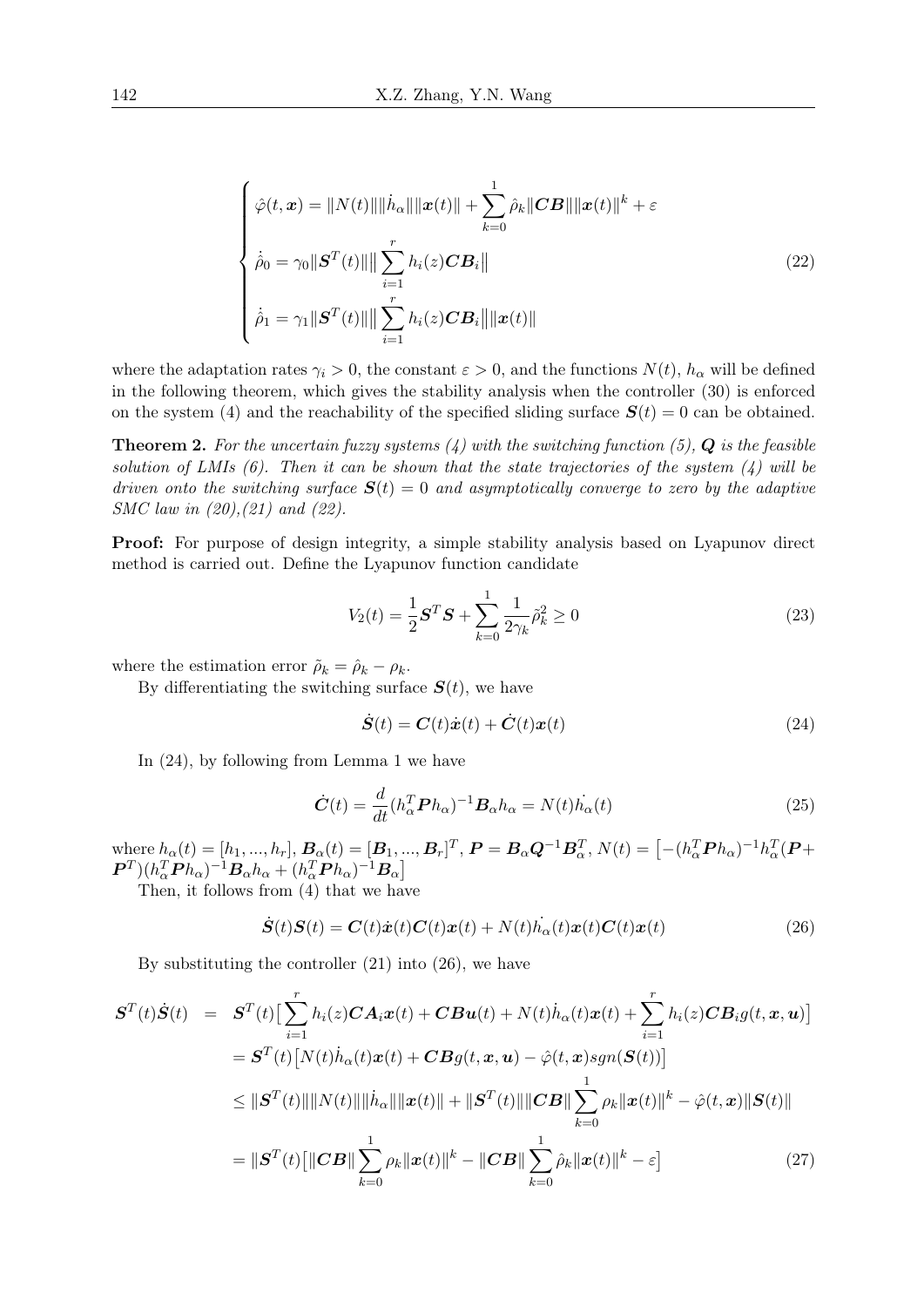$$
\begin{cases}\n\hat{\varphi}(t,\mathbf{x}) = \|N(t)\| \|\dot{h}_{\alpha}\| \|\mathbf{x}(t)\| + \sum_{k=0}^{1} \hat{\rho}_{k} \|CB\| \|\mathbf{x}(t)\|^{k} + \varepsilon \\
\dot{\rho}_{0} = \gamma_{0} \|S^{T}(t)\| \|\sum_{i=1}^{r} h_{i}(z) CB_{i}\| \\
\dot{\rho}_{1} = \gamma_{1} \|S^{T}(t)\| \|\sum_{i=1}^{r} h_{i}(z) CB_{i}\| \|\mathbf{x}(t)\|\n\end{cases}
$$
\n(22)

where the adaptation rates  $\gamma_i > 0$ , the constant  $\varepsilon > 0$ , and the functions  $N(t)$ ,  $h_\alpha$  will be defined in the following theorem, which gives the stability analysis when the controller (30) is enforced on the system (4) and the reachability of the specified sliding surface  $S(t) = 0$  can be obtained.

Theorem 2. *For the uncertain fuzzy systems (4) with the switching function (5), Q is the feasible solution of LMIs (6). Then it can be shown that the state trajectories of the system (4) will be driven onto the switching surface*  $S(t) = 0$  *and asymptotically converge to zero by the adaptive SMC law in (20),(21) and (22).*

Proof: For purpose of design integrity, a simple stability analysis based on Lyapunov direct method is carried out. Define the Lyapunov function candidate

$$
V_2(t) = \frac{1}{2} \mathbf{S}^T \mathbf{S} + \sum_{k=0}^{1} \frac{1}{2\gamma_k} \tilde{\rho}_k^2 \ge 0
$$
\n(23)

where the estimation error  $\tilde{\rho}_k = \hat{\rho}_k - \rho_k$ .

By differentiating the switching surface  $S(t)$ , we have

$$
\dot{\mathbf{S}}(t) = \mathbf{C}(t)\dot{\mathbf{x}}(t) + \dot{\mathbf{C}}(t)\mathbf{x}(t)
$$
\n(24)

In (24), by following from Lemma 1 we have

$$
\dot{\boldsymbol{C}}(t) = \frac{d}{dt} (h_{\alpha}^T \boldsymbol{P} h_{\alpha})^{-1} \boldsymbol{B}_{\alpha} h_{\alpha} = N(t) \dot{h_{\alpha}}(t)
$$
\n(25)

where  $h_{\alpha}(t) = [h_1, ..., h_r], B_{\alpha}(t) = [B_1, ..., B_r]^T, P = B_{\alpha}Q^{-1}B_{\alpha}^T, N(t) = [-(h_{\alpha}^T P h_{\alpha})^{-1}h_{\alpha}^T (P +$  $\bm{P}^T) (h_\alpha^T \bm{P} h_\alpha)^{-1} \bm{B}_\alpha h_\alpha + (h_\alpha^T \bm{P} h_\alpha)^{-1} \bm{B}_\alpha]$ 

Then, it follows from (4) that we have

$$
\dot{\boldsymbol{S}}(t)\boldsymbol{S}(t) = \boldsymbol{C}(t)\dot{\boldsymbol{x}}(t)\boldsymbol{C}(t)\boldsymbol{x}(t) + N(t)\dot{h}_{\alpha}(t)\boldsymbol{x}(t)\boldsymbol{C}(t)\boldsymbol{x}(t) \tag{26}
$$

By substituting the controller  $(21)$  into  $(26)$ , we have

$$
\mathbf{S}^{T}(t)\dot{\mathbf{S}}(t) = \mathbf{S}^{T}(t)\left[\sum_{i=1}^{r} h_{i}(z)\mathbf{C}\mathbf{A}_{i}\mathbf{x}(t) + \mathbf{C}\mathbf{B}\mathbf{u}(t) + N(t)\dot{h}_{\alpha}(t)\mathbf{x}(t) + \sum_{i=1}^{r} h_{i}(z)\mathbf{C}\mathbf{B}_{i}g(t,\mathbf{x},\mathbf{u})\right]
$$
\n
$$
= \mathbf{S}^{T}(t)\left[N(t)\dot{h}_{\alpha}(t)\mathbf{x}(t) + \mathbf{C}\mathbf{B}g(t,\mathbf{x},\mathbf{u}) - \hat{\varphi}(t,\mathbf{x})sgn(\mathbf{S}(t))\right]
$$
\n
$$
\leq ||\mathbf{S}^{T}(t)|| ||N(t)|| ||\dot{h}_{\alpha}|| ||\mathbf{x}(t)|| + ||\mathbf{S}^{T}(t)|| ||\mathbf{C}\mathbf{B}|| \sum_{k=0}^{1} \rho_{k} ||\mathbf{x}(t)||^{k} - \hat{\varphi}(t,\mathbf{x})||\mathbf{S}(t)||
$$
\n
$$
= ||\mathbf{S}^{T}(t)[ ||\mathbf{C}\mathbf{B}|| \sum_{k=0}^{1} \rho_{k} ||\mathbf{x}(t)||^{k} - ||\mathbf{C}\mathbf{B}|| \sum_{k=0}^{1} \hat{\rho}_{k} ||\mathbf{x}(t)||^{k} - \varepsilon]
$$
\n(27)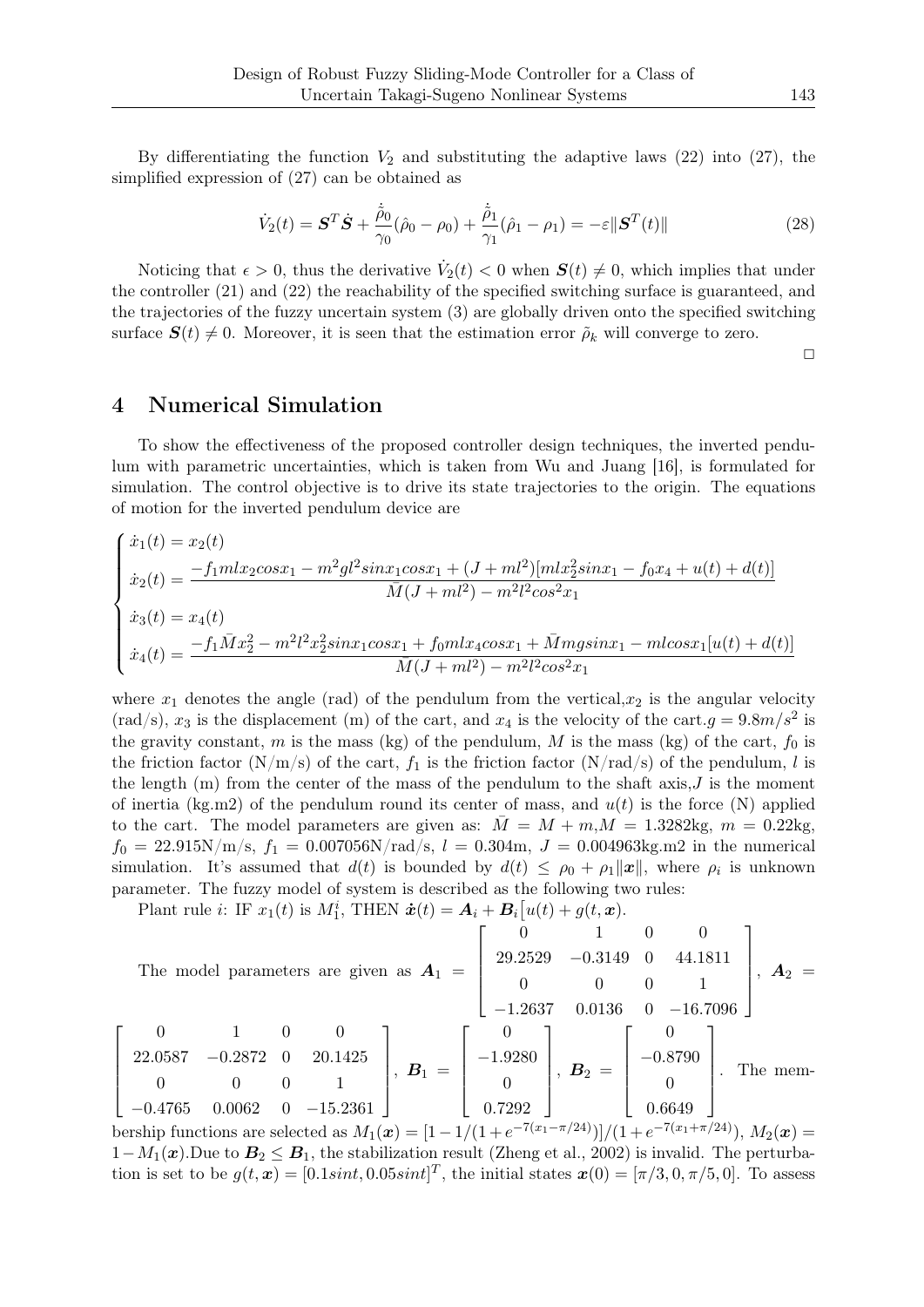By differentiating the function  $V_2$  and substituting the adaptive laws  $(22)$  into  $(27)$ , the simplified expression of (27) can be obtained as

$$
\dot{V}_2(t) = \mathbf{S}^T \dot{\mathbf{S}} + \frac{\dot{\tilde{\rho}}_0}{\gamma_0} (\hat{\rho}_0 - \rho_0) + \frac{\dot{\tilde{\rho}}_1}{\gamma_1} (\hat{\rho}_1 - \rho_1) = -\varepsilon \|\mathbf{S}^T(t)\|
$$
\n(28)

Noticing that  $\epsilon > 0$ , thus the derivative  $\dot{V}_2(t) < 0$  when  $S(t) \neq 0$ , which implies that under the controller (21) and (22) the reachability of the specified switching surface is guaranteed, and the trajectories of the fuzzy uncertain system (3) are globally driven onto the specified switching surface  $S(t) \neq 0$ . Moreover, it is seen that the estimation error  $\rho_k$  will converge to zero.

 $\Box$ 

# 4 Numerical Simulation

To show the effectiveness of the proposed controller design techniques, the inverted pendulum with parametric uncertainties, which is taken from Wu and Juang [16], is formulated for simulation. The control objective is to drive its state trajectories to the origin. The equations of motion for the inverted pendulum device are

$$
\begin{cases}\n\dot{x}_1(t) = x_2(t) \\
\dot{x}_2(t) = \frac{-f_1 m l x_2 cos x_1 - m^2 g l^2 sin x_1 cos x_1 + (J + ml^2) [m l x_2^2 sin x_1 - f_0 x_4 + u(t) + d(t)]}{\bar{M} (J + ml^2) - m^2 l^2 cos^2 x_1} \\
\dot{x}_3(t) = x_4(t) \\
\dot{x}_4(t) = \frac{-f_1 \bar{M} x_2^2 - m^2 l^2 x_2^2 sin x_1 cos x_1 + f_0 m l x_4 cos x_1 + \bar{M} m g sin x_1 - m l cos x_1 [u(t) + d(t)]}{\bar{M} (J + ml^2) - m^2 l^2 cos^2 x_1}\n\end{cases}
$$

where  $x_1$  denotes the angle (rad) of the pendulum from the vertical, $x_2$  is the angular velocity (rad/s),  $x_3$  is the displacement (m) of the cart, and  $x_4$  is the velocity of the cart. $g = 9.8m/s^2$  is the gravity constant,  $m$  is the mass (kg) of the pendulum,  $M$  is the mass (kg) of the cart,  $f_0$  is the friction factor  $(N/m/s)$  of the cart,  $f_1$  is the friction factor  $(N/rad/s)$  of the pendulum, *l* is the length (m) from the center of the mass of the pendulum to the shaft axis,*J* is the moment of inertia (kg.m2) of the pendulum round its center of mass, and  $u(t)$  is the force (N) applied to the cart. The model parameters are given as:  $\overline{M} = M + m, M = 1.3282 \text{kg}, m = 0.22 \text{kg}$  $f_0 = 22.915N/m/s$ ,  $f_1 = 0.007056N/rad/s$ ,  $l = 0.304m$ ,  $J = 0.004963kg$  m2 in the numerical simulation. It's assumed that  $d(t)$  is bounded by  $d(t) \leq \rho_0 + \rho_1 ||x||$ , where  $\rho_i$  is unknown parameter. The fuzzy model of system is described as the following two rules:

Plant rule *i*: IF  $x_1(t)$  is  $M_1^i$ , THEN  $\dot{x}(t) = A_i + B_i[u(t) + g(t, x)]$ .

The model parameters are given as 
$$
\mathbf{A}_1 = \begin{bmatrix} 0 & 1 & 0 & 0 \\ 29.2529 & -0.3149 & 0 & 44.1811 \\ 0 & 0 & 0 & 1 \end{bmatrix}
$$
,  $\mathbf{A}_2 = \begin{bmatrix} 0 & 1 & 0 & 0 \\ -1.2637 & 0.0136 & 0 & -16.7096 \\ -1.2637 & 0.0136 & 0 & -16.7096 \end{bmatrix}$ .  
\n
$$
\begin{bmatrix} 0 & 1 & 0 & 0 \\ 22.0587 & -0.2872 & 0 & 20.1425 \\ 0 & 0 & 0 & 1 \end{bmatrix}
$$
,  $\mathbf{B}_1 = \begin{bmatrix} 0 \\ -1.9280 \\ 0 \\ 0.7292 \end{bmatrix}$ ,  $\mathbf{B}_2 = \begin{bmatrix} 0 \\ -0.8790 \\ 0 \\ 0.6649 \end{bmatrix}$ . The mem-

bership functions are selected as  $M_1(\mathbf{x}) = [1 - 1/(1 + e^{-7(x_1 - \pi/24)})]/(1 + e^{-7(x_1 + \pi/24)})$ ,  $M_2(\mathbf{x}) =$ 1*−M*<sub>1</sub>(**).Due to**  $**B**<sub>2</sub> ≤ **B**<sub>1</sub>$ **, the stabilization result (Zheng et al., 2002) is invalid. The perturba**tion is set to be  $g(t, x) = [0.1sint, 0.05sint]^T$ , the initial states  $x(0) = [\pi/3, 0, \pi/5, 0]$ . To assess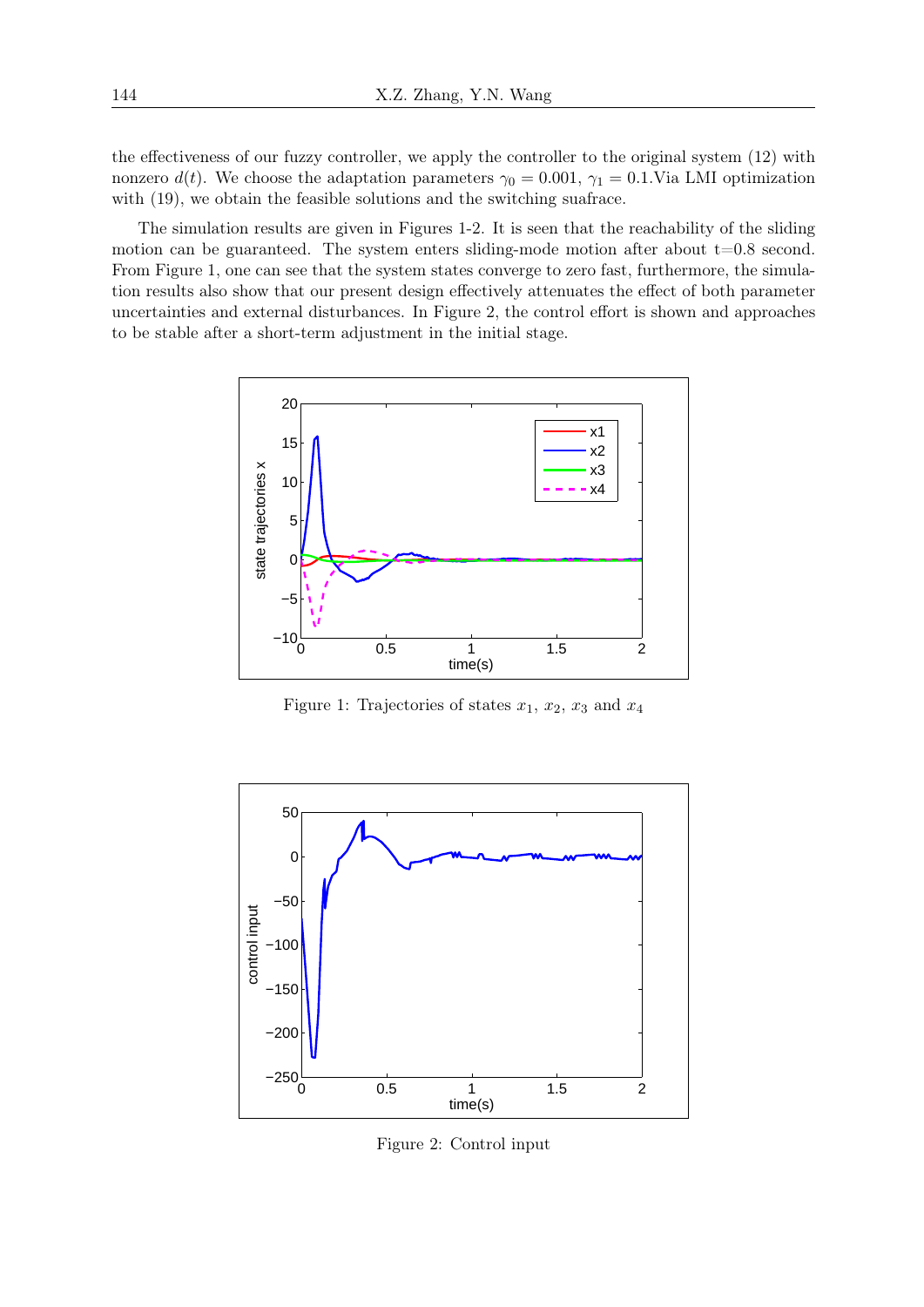the effectiveness of our fuzzy controller, we apply the controller to the original system (12) with nonzero  $d(t)$ . We choose the adaptation parameters  $\gamma_0 = 0.001$ ,  $\gamma_1 = 0.1$ . Via LMI optimization with  $(19)$ , we obtain the feasible solutions and the switching suafrace.

The simulation results are given in Figures 1-2. It is seen that the reachability of the sliding motion can be guaranteed. The system enters sliding-mode motion after about  $t=0.8$  second. From Figure 1, one can see that the system states converge to zero fast, furthermore, the simulation results also show that our present design effectively attenuates the effect of both parameter uncertainties and external disturbances. In Figure 2, the control effort is shown and approaches to be stable after a short-term adjustment in the initial stage.



Figure 1: Trajectories of states  $x_1, x_2, x_3$  and  $x_4$ 



Figure 2: Control input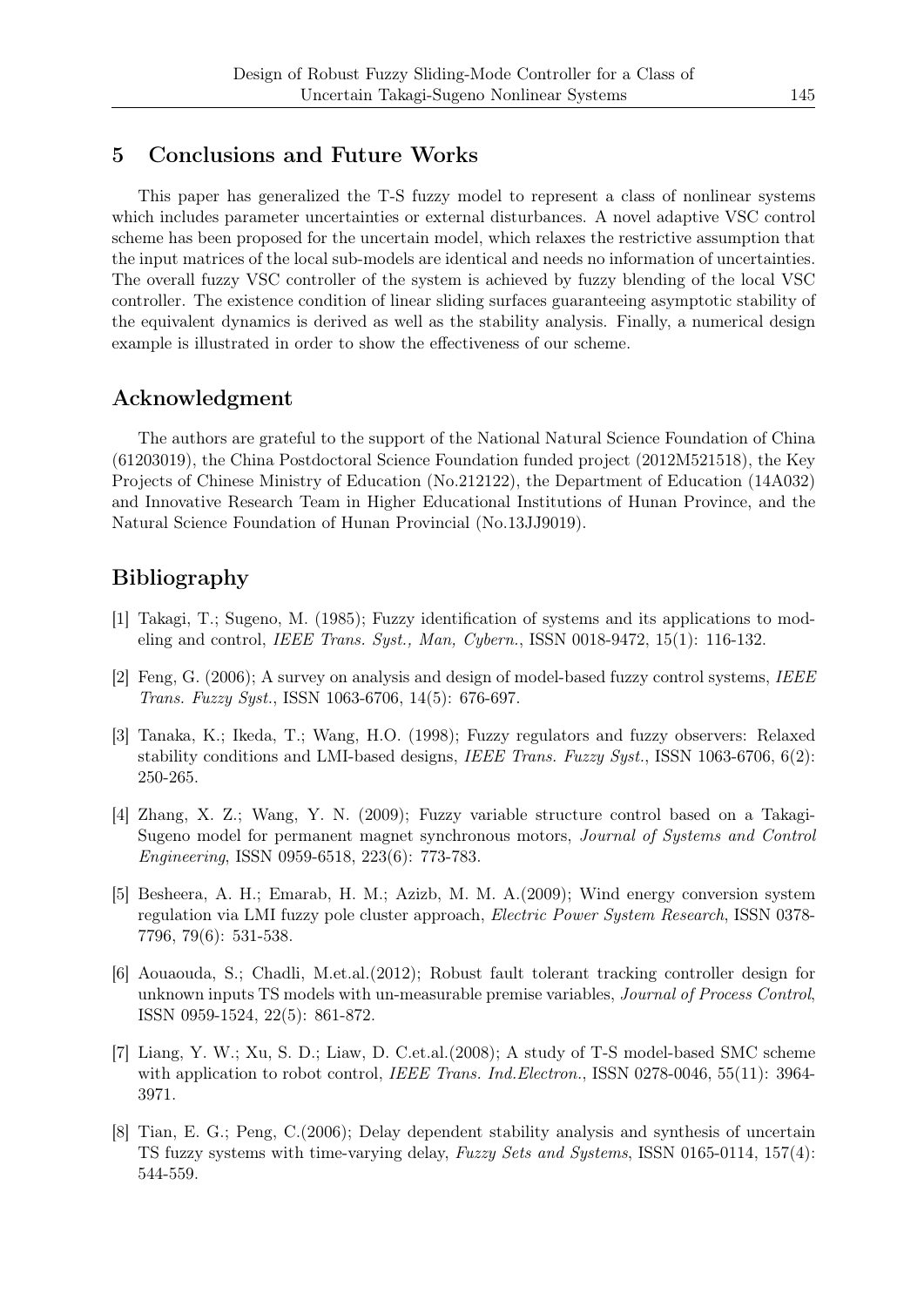## 5 Conclusions and Future Works

This paper has generalized the T-S fuzzy model to represent a class of nonlinear systems which includes parameter uncertainties or external disturbances. A novel adaptive VSC control scheme has been proposed for the uncertain model, which relaxes the restrictive assumption that the input matrices of the local sub-models are identical and needs no information of uncertainties. The overall fuzzy VSC controller of the system is achieved by fuzzy blending of the local VSC controller. The existence condition of linear sliding surfaces guaranteeing asymptotic stability of the equivalent dynamics is derived as well as the stability analysis. Finally, a numerical design example is illustrated in order to show the effectiveness of our scheme.

## Acknowledgment

The authors are grateful to the support of the National Natural Science Foundation of China (61203019), the China Postdoctoral Science Foundation funded project (2012M521518), the Key Projects of Chinese Ministry of Education (No.212122), the Department of Education (14A032) and Innovative Research Team in Higher Educational Institutions of Hunan Province, and the Natural Science Foundation of Hunan Provincial (No.13JJ9019).

# Bibliography

- [1] Takagi, T.; Sugeno, M. (1985); Fuzzy identification of systems and its applications to modeling and control, *IEEE Trans. Syst., Man, Cybern.*, ISSN 0018-9472, 15(1): 116-132.
- [2] Feng, G. (2006); A survey on analysis and design of model-based fuzzy control systems, *IEEE Trans. Fuzzy Syst.*, ISSN 1063-6706, 14(5): 676-697.
- [3] Tanaka, K.; Ikeda, T.; Wang, H.O. (1998); Fuzzy regulators and fuzzy observers: Relaxed stability conditions and LMI-based designs, *IEEE Trans. Fuzzy Syst.*, ISSN 1063-6706, 6(2): 250-265.
- [4] Zhang, X. Z.; Wang, Y. N. (2009); Fuzzy variable structure control based on a Takagi-Sugeno model for permanent magnet synchronous motors, *Journal of Systems and Control Engineering*, ISSN 0959-6518, 223(6): 773-783.
- [5] Besheera, A. H.; Emarab, H. M.; Azizb, M. M. A.(2009); Wind energy conversion system regulation via LMI fuzzy pole cluster approach, *Electric Power System Research*, ISSN 0378- 7796, 79(6): 531-538.
- [6] Aouaouda, S.; Chadli, M.et.al.(2012); Robust fault tolerant tracking controller design for unknown inputs TS models with un-measurable premise variables, *Journal of Process Control*, ISSN 0959-1524, 22(5): 861-872.
- [7] Liang, Y. W.; Xu, S. D.; Liaw, D. C.et.al.(2008); A study of T-S model-based SMC scheme with application to robot control, *IEEE Trans. Ind.Electron.*, ISSN 0278-0046, 55(11): 3964-3971.
- [8] Tian, E. G.; Peng, C.(2006); Delay dependent stability analysis and synthesis of uncertain TS fuzzy systems with time-varying delay, *Fuzzy Sets and Systems*, ISSN 0165-0114, 157(4): 544-559.